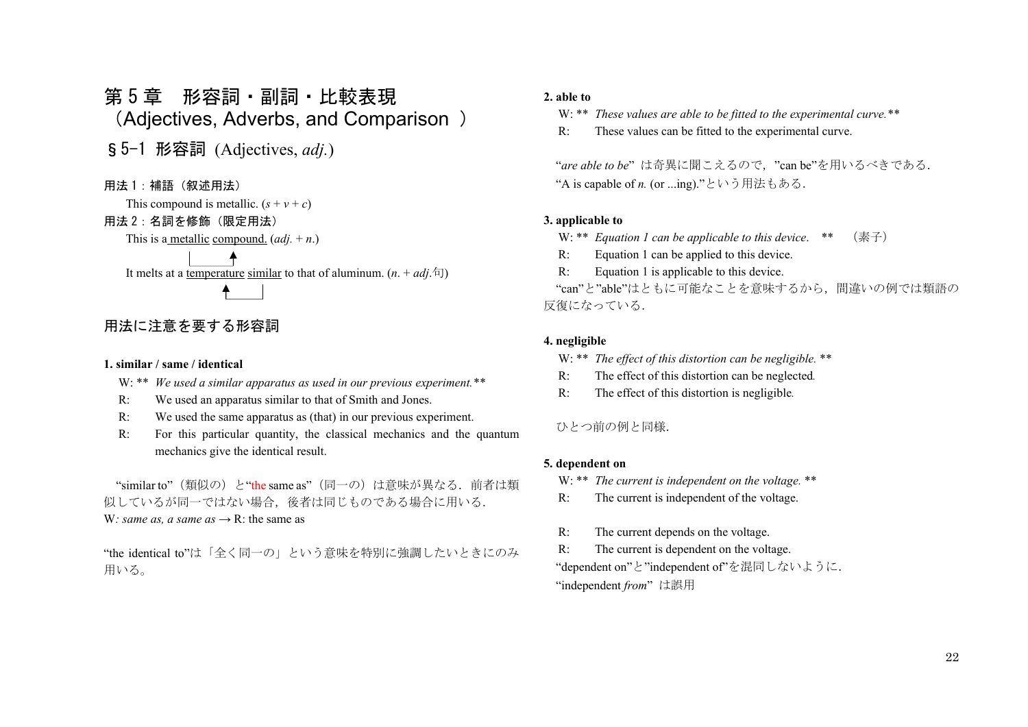# 第 5 章 形容詞・副詞・比較表現 (Adjectives, Adverbs, and Comparison )

§5-1 形容詞 (Adjectives, *adj.*)

用法 1: 補語 (叙述用法)

This compound is metallic.  $(s + v + c)$ 

# 用法 2:名詞を修飾(限定用法)

This is a metallic compound. (*adj.* <sup>+</sup>*n*.)

It melts at a temperature similar to that of aluminum.  $(n. + adj.\bar{d})$ 

# 用法に注意を要する形容詞

#### **1. similar / same / identical**

- W: \*\* *We used a similar apparatus as used in our previous experiment.\*\**
- R: We used an apparatus similar to that of Smith and Jones.
- R: We used the same apparatus as (that) in our previous experiment.
- R: For this particular quantity, the classical mechanics and the quantum mechanics give the identical result.

"similar to" (類似の) と"the same as" (同一の) は意味が異なる. 前者は類 似しているが同一ではない場合,後者は同じものである場合に用いる. W: *same as, a same as*  $\rightarrow$  R: the same as

"the identical to"は「全く同一の」という意味を特別に強調したいときにのみ 用いる。

#### **2. able to**

W: \*\* *These values are able to be fitted to the experimental curve.\*\**

R: These values can be fitted to the experimental curve.

"*are able to be*" は奇異に聞こえるので,"can be"を用いるべきである. "A is capable of *n.* (or ...ing)."という用法もある.

#### **3. applicable to**

- W: \*\* *Equation 1 can be applicable to this device*. \*\* (素子)
- R: Equation 1 can be applied to this device.
- R: Equation 1 is applicable to this device.

"can"と"able"はともに可能なことを意味するから,間違いの例では類語の 反復になっている.

#### **4. negligible**

- W: \*\* *The effect of this distortion can be negligible.* \*\*
- R: The effect of this distortion can be neglected*.*
- R: The effect of this distortion is negligible*.*

### ひとつ前の例と同様.

#### **5. dependent on**

- W: \*\* *The current is independent on the voltage.* \*\*
- R: The current is independent of the voltage.
- R: The current depends on the voltage.

 R: The current is dependent on the voltage. "dependent on"と"independent of"を混同しないように. "independent *from*" は誤用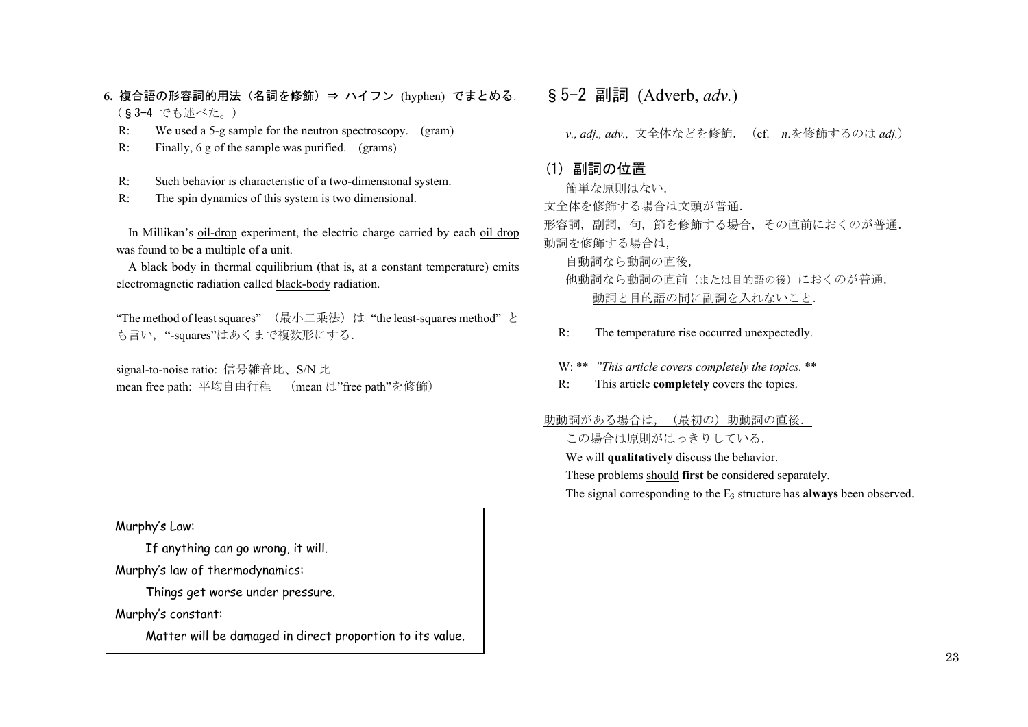- **6.** 複合語の形容詞的用法(名詞を修飾)⇒ ハイフン (hyphen) でまとめる. (§3-4 でも述べた。)
	- R: We used a 5-g sample for the neutron spectroscopy. (gram)
	- R: Finally, 6 g of the sample was purified. (grams)
	- R: Such behavior is characteristic of a two-dimensional system.
	- R: The spin dynamics of this system is two dimensional.

In Millikan's oil-drop experiment, the electric charge carried by each oil drop was found to be a multiple of a unit.

A black body in thermal equilibrium (that is, at a constant temperature) emits electromagnetic radiation called black-body radiation.

"The method of least squares" (最小二乗法)は "the least-squares method" と も言い, "-squares"はあくまで複数形にする.

signal-to-noise ratio: 信号雑音比、S/N 比 mean free path: 平均自由行程 (mean は"free path"を修飾)

# Murphy's Law:

If anything can go wrong, it will.

Murphy's law of thermodynamics:

Things get worse under pressure.

Murphy's constant:

Matter will be damaged in direct proportion to its value.

# §5-2 副詞 (Adverb, *adv.*)

 *v., adj., adv.,* 文全体などを修飾.(cf. *<sup>n</sup>*.を修飾するのは *adj.*)

# (1) 副詞の位置

簡単な原則はない.

文全体を修飾する場合は文頭が普通.

形容詞,副詞,句,節を修飾する場合,その直前におくのが普通. 動詞を修飾する場合は,

自動詞なら動詞の直後,

- 他動詞なら動詞の直前(または目的語の後)におくのが普通. 動詞と目的語の間に副詞を入れないこと.
- R: The temperature rise occurred unexpectedly.

W: \*\* *"This article covers completely the topics.* \*\*

R: This article **completely** covers the topics.

助動詞がある場合は、(最初の)助動詞の直後.

この場合は原則がはっきりしている.

We will **qualitatively** discuss the behavior.

These problems should **first** be considered separately.

The signal corresponding to the E3 structure has **always** been observed.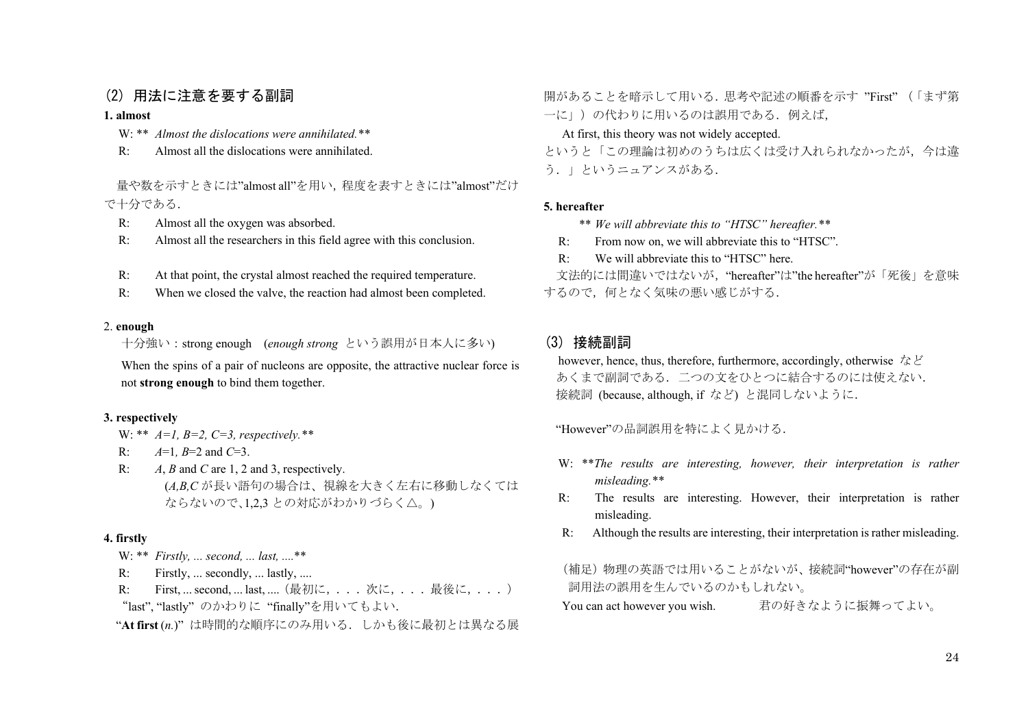# (2) 用法に注意を要する副詞

#### **1. almost**

- W: \*\* *Almost the dislocations were annihilated.\*\** 
	- R: Almost all the dislocations were annihilated.

 量や数を示すときには"almost all"を用い,程度を表すときには"almost"だけ で十分である.

- R: Almost all the oxygen was absorbed.
- R: Almost all the researchers in this field agree with this conclusion.
- R: At that point, the crystal almost reached the required temperature.
- R: When we closed the valve, the reaction had almost been completed.

#### 2. **enough**

十分強い:strong enough (*enough strong* という誤用が日本人に多い)

When the spins of a pair of nucleons are opposite, the attractive nuclear force is not **strong enough** to bind them together.

#### **3. respectively**

W: \*\* *A=1, B=2, C=3, respectively.\*\**

- R: *A*=1*, B*=2 and *C*=3.
- R: *A*, *B* and *C* are 1, 2 and 3, respectively. (*A,B,C* が長い語句の場合は、視線を大きく左右に移動しなくては ならないので、1.2.3 との対応がわかりづらく△。)

#### **4. firstly**

- W: \*\* *Firstly, ... second, ... last, ....*\*\*
- R: Firstly, ... secondly, ... lastly, ....
- R: First, ... second, ... last, .... (最初に, ... 次に, ... 最後に, ...) "last", "lastly" のかわりに "finally"を用いてもよい.

"**At first** (*n.*)" は時間的な順序にのみ用いる.しかも後に最初とは異なる展

開があることを暗示して用いる.思考や記述の順番を示す "First" (「まず第 一に」)の代わりに用いるのは誤用である. 例えば,

At first, this theory was not widely accepted.

というと「この理論は初めのうちは広くは受け入れられなかったが,今は違 う.」というニュアンスがある.

#### **5. hereafter**

- \*\* *We will abbreviate this to "HTSC" hereafter.\*\**
- R: From now on, we will abbreviate this to "HTSC".
- R: We will abbreviate this to "HTSC" here.

文法的には間違いではないが、"hereafter"は"the hereafter"が「死後」を意味 するので,何となく気味の悪い感じがする.

# (3) 接続副詞

however, hence, thus, therefore, furthermore, accordingly, otherwise など あくまで副詞である.二つの文をひとつに結合するのには使えない. 接続詞 (because, although, if など) と混同しないように.

"However"の品詞誤用を特によく見かける.

- W: \*\**The results are interesting, however, their interpretation is rather misleading.\*\**
- R: The results are interesting. However, their interpretation is rather misleading.
- R: Although the results are interesting, their interpretation is rather misleading.

(補足)物理の英語では用いることがないが、接続詞"however"の存在が副 詞用法の誤用を生んでいるのかもしれない。 You can act however you wish. 君の好きなように振舞ってよい。